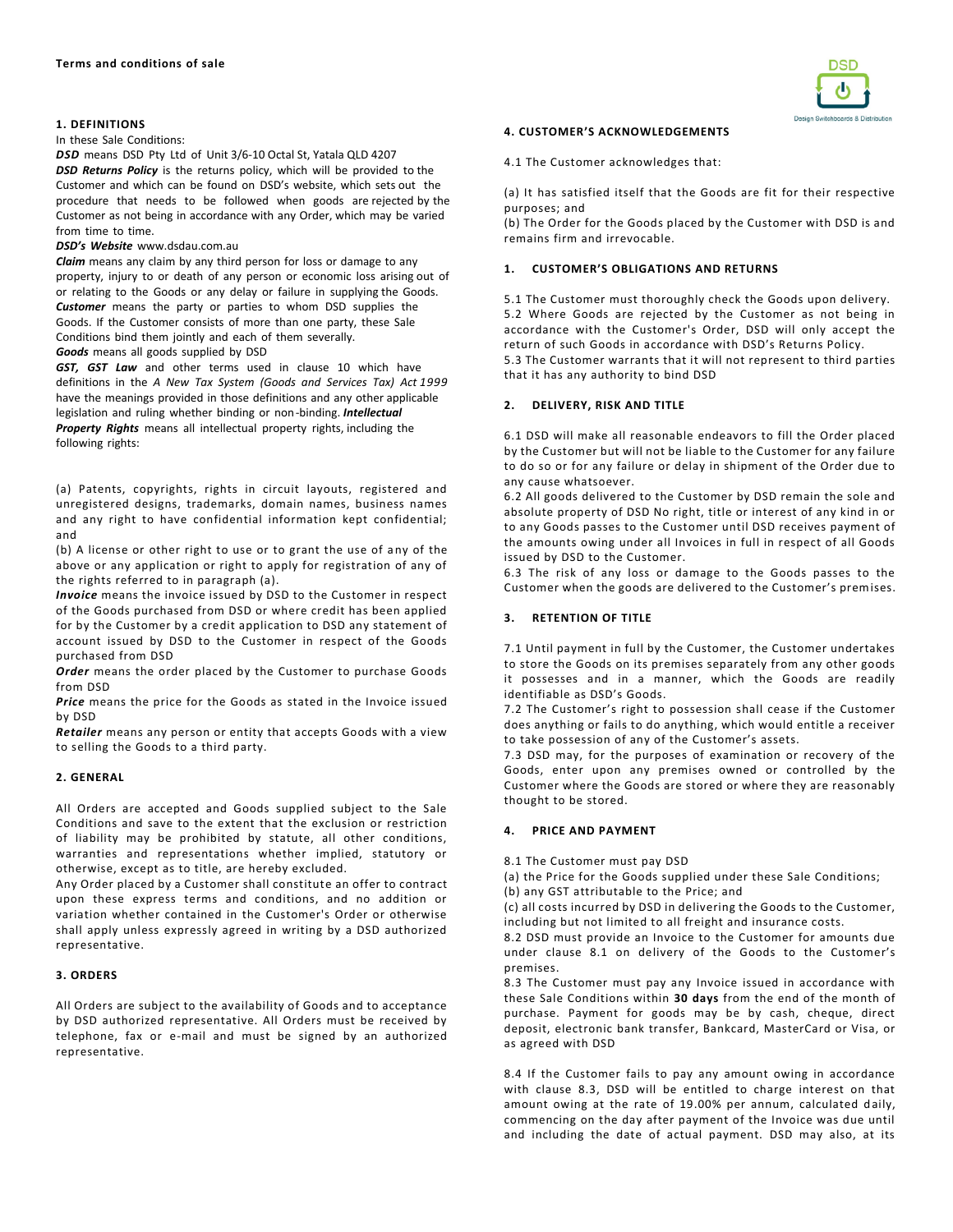### **1. DEFINITIONS**

#### In these Sale Conditions:

*DSD* means DSD Pty Ltd of Unit 3/6-10 Octal St, Yatala QLD 4207 *DSD Returns Policy* is the returns policy, which will be provided to the Customer and which can be found on DSD's website, which sets out the procedure that needs to be followed when goods are rejected by the Customer as not being in accordance with any Order, which may be varied from time to time.

# *DSD's Website* www.dsdau.com.au

*Claim* means any claim by any third person for loss or damage to any property, injury to or death of any person or economic loss arising out of or relating to the Goods or any delay or failure in supplying the Goods. *Customer* means the party or parties to whom DSD supplies the Goods. If the Customer consists of more than one party, these Sale Conditions bind them jointly and each of them severally. *Goods* means all goods supplied by DSD

*GST, GST Law* and other terms used in clause 10 which have definitions in the *A New Tax System (Goods and Services Tax) Act 1999*  have the meanings provided in those definitions and any other applicable legislation and ruling whether binding or non-binding. *Intellectual Property Rights* means all intellectual property rights, including the following rights:

(a) Patents, copyrights, rights in circuit layouts, registered and unregistered designs, trademarks, domain names, business names and any right to have confidential information kept confidential; and

(b) A license or other right to use or to grant the use of any of the above or any application or right to apply for registration of any of the rights referred to in paragraph (a).

*Invoice* means the invoice issued by DSD to the Customer in respect of the Goods purchased from DSD or where credit has been applied for by the Customer by a credit application to DSD any statement of account issued by DSD to the Customer in respect of the Goods purchased from DSD

*Order* means the order placed by the Customer to purchase Goods from DSD

*Price* means the price for the Goods as stated in the Invoice issued by DSD

*Retailer* means any person or entity that accepts Goods with a view to selling the Goods to a third party.

# **2. GENERAL**

All Orders are accepted and Goods supplied subject to the Sale Conditions and save to the extent that the exclusion or restriction of liability may be prohibited by statute, all other conditions, warranties and representations whether implied, statutory or otherwise, except as to title, are hereby excluded.

Any Order placed by a Customer shall constitute an offer to contract upon these express terms and conditions, and no addition or variation whether contained in the Customer's Order or otherwise shall apply unless expressly agreed in writing by a DSD authorized representative.

## **3. ORDERS**

All Orders are subject to the availability of Goods and to acceptance by DSD authorized representative. All Orders must be received by telephone, fax or e-mail and must be signed by an authorized representative.



#### **4. CUSTOMER'S ACKNOWLEDGEMENTS**

4.1 The Customer acknowledges that:

(a) It has satisfied itself that the Goods are fit for their respective purposes; and

(b) The Order for the Goods placed by the Customer with DSD is and remains firm and irrevocable.

### **1. CUSTOMER'S OBLIGATIONS AND RETURNS**

5.1 The Customer must thoroughly check the Goods upon delivery. 5.2 Where Goods are rejected by the Customer as not being in accordance with the Customer's Order, DSD will only accept the return of such Goods in accordance with DSD's Returns Policy. 5.3 The Customer warrants that it will not represent to third parties

that it has any authority to bind DSD

#### **2. DELIVERY, RISK AND TITLE**

6.1 DSD will make all reasonable endeavors to fill the Order placed by the Customer but will not be liable to the Customer for any failure to do so or for any failure or delay in shipment of the Order due to any cause whatsoever.

6.2 All goods delivered to the Customer by DSD remain the sole and absolute property of DSD No right, title or interest of any kind in or to any Goods passes to the Customer until DSD receives payment of the amounts owing under all Invoices in full in respect of all Goods issued by DSD to the Customer.

6.3 The risk of any loss or damage to the Goods passes to the Customer when the goods are delivered to the Customer's premises.

## **3. RETENTION OF TITLE**

7.1 Until payment in full by the Customer, the Customer undertakes to store the Goods on its premises separately from any other goods it possesses and in a manner, which the Goods are readily identifiable as DSD's Goods.

7.2 The Customer's right to possession shall cease if the Customer does anything or fails to do anything, which would entitle a receiver to take possession of any of the Customer's assets.

7.3 DSD may, for the purposes of examination or recovery of the Goods, enter upon any premises owned or controlled by the Customer where the Goods are stored or where they are reasonably thought to be stored.

# **4. PRICE AND PAYMENT**

8.1 The Customer must pay DSD

(a) the Price for the Goods supplied under these Sale Conditions;

(b) any GST attributable to the Price; and

(c) all costs incurred by DSD in delivering the Goods to the Customer, including but not limited to all freight and insurance costs.

8.2 DSD must provide an Invoice to the Customer for amounts due under clause 8.1 on delivery of the Goods to the Customer's premises.

8.3 The Customer must pay any Invoice issued in accordance with these Sale Conditions within **30 days** from the end of the month of purchase. Payment for goods may be by cash, cheque, direct deposit, electronic bank transfer, Bankcard, MasterCard or Visa, or as agreed with DSD

8.4 If the Customer fails to pay any amount owing in accordance with clause 8.3, DSD will be entitled to charge interest on that amount owing at the rate of 19.00% per annum, calculated daily, commencing on the day after payment of the Invoice was due until and including the date of actual payment. DSD may also, at its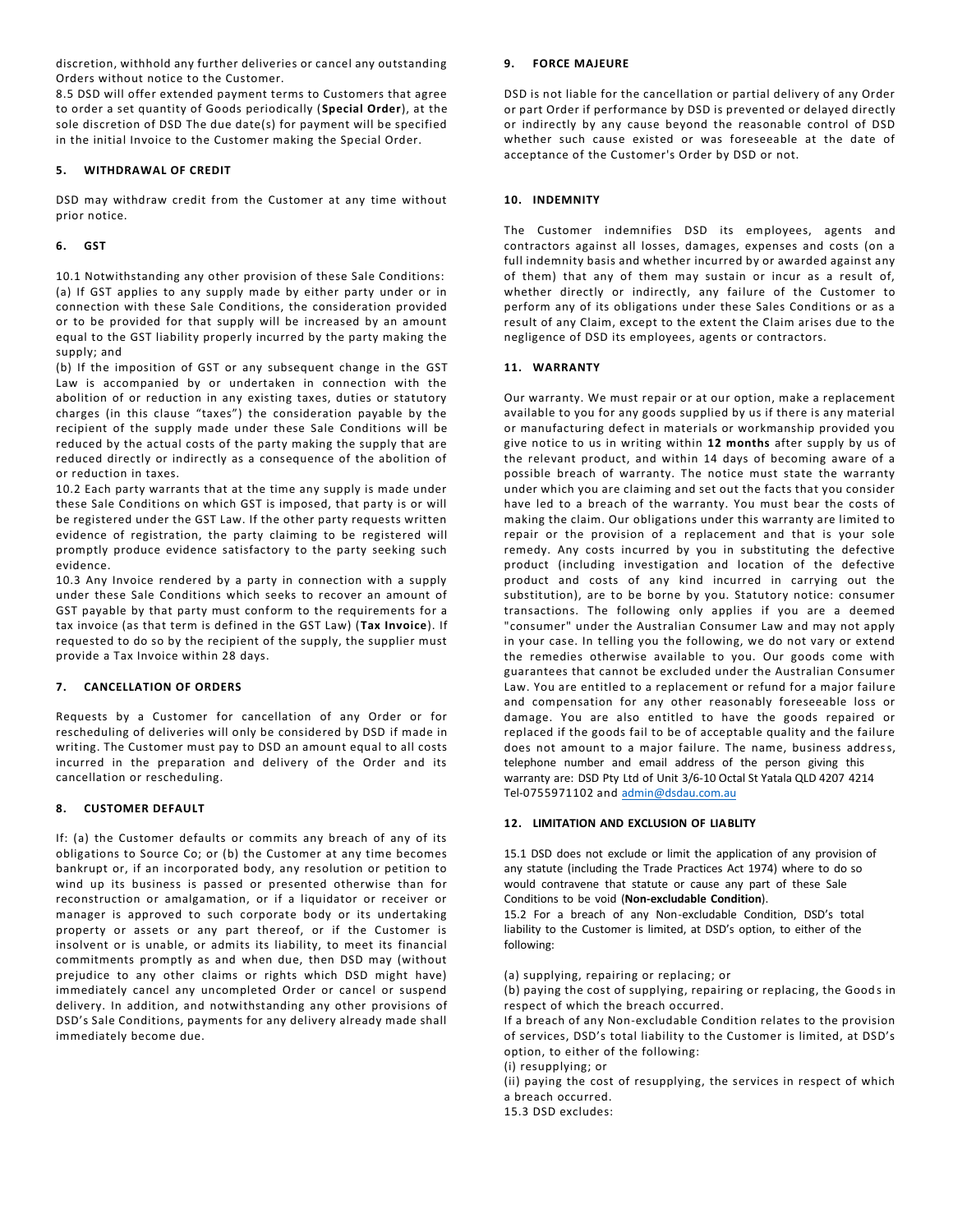discretion, withhold any further deliveries or cancel any outstanding Orders without notice to the Customer.

8.5 DSD will offer extended payment terms to Customers that agree to order a set quantity of Goods periodically (**Special Order**), at the sole discretion of DSD The due date(s) for payment will be specified in the initial Invoice to the Customer making the Special Order.

# **5. WITHDRAWAL OF CREDIT**

DSD may withdraw credit from the Customer at any time without prior notice.

# **6. GST**

10.1 Notwithstanding any other provision of these Sale Conditions: (a) If GST applies to any supply made by either party under or in connection with these Sale Conditions, the consideration provided or to be provided for that supply will be increased by an amount equal to the GST liability properly incurred by the party making the supply; and

(b) If the imposition of GST or any subsequent change in the GST Law is accompanied by or undertaken in connection with the abolition of or reduction in any existing taxes, duties or statutory charges (in this clause "taxes") the consideration payable by the recipient of the supply made under these Sale Conditions will be reduced by the actual costs of the party making the supply that are reduced directly or indirectly as a consequence of the abolition of or reduction in taxes.

10.2 Each party warrants that at the time any supply is made under these Sale Conditions on which GST is imposed, that party is or will be registered under the GST Law. If the other party requests written evidence of registration, the party claiming to be registered will promptly produce evidence satisfactory to the party seeking such evidence.

10.3 Any Invoice rendered by a party in connection with a supply under these Sale Conditions which seeks to recover an amount of GST payable by that party must conform to the requirements for a tax invoice (as that term is defined in the GST Law) (**Tax Invoice**). If requested to do so by the recipient of the supply, the supplier must provide a Tax Invoice within 28 days.

# **7. CANCELLATION OF ORDERS**

Requests by a Customer for cancellation of any Order or for rescheduling of deliveries will only be considered by DSD if made in writing. The Customer must pay to DSD an amount equal to all costs incurred in the preparation and delivery of the Order and its cancellation or rescheduling.

# **8. CUSTOMER DEFAULT**

If: (a) the Customer defaults or commits any breach of any of its obligations to Source Co; or (b) the Customer at any time becomes bankrupt or, if an incorporated body, any resolution or petition to wind up its business is passed or presented otherwise than for reconstruction or amalgamation, or if a liquidator or receiver or manager is approved to such corporate body or its undertaking property or assets or any part thereof, or if the Customer is insolvent or is unable, or admits its liability, to meet its financial commitments promptly as and when due, then DSD may (without prejudice to any other claims or rights which DSD might have) immediately cancel any uncompleted Order or cancel or suspend delivery. In addition, and notwithstanding any other provisions of DSD's Sale Conditions, payments for any delivery already made shall immediately become due.

# **9. FORCE MAJEURE**

DSD is not liable for the cancellation or partial delivery of any Order or part Order if performance by DSD is prevented or delayed directly or indirectly by any cause beyond the reasonable control of DSD whether such cause existed or was foreseeable at the date of acceptance of the Customer's Order by DSD or not.

# **10. INDEMNITY**

The Customer indemnifies DSD its employees, agents and contractors against all losses, damages, expenses and costs (on a full indemnity basis and whether incurred by or awarded against any of them) that any of them may sustain or incur as a result of, whether directly or indirectly, any failure of the Customer to perform any of its obligations under these Sales Conditions or as a result of any Claim, except to the extent the Claim arises due to the negligence of DSD its employees, agents or contractors.

## **11. WARRANTY**

Our warranty. We must repair or at our option, make a replacement available to you for any goods supplied by us if there is any material or manufacturing defect in materials or workmanship provided you give notice to us in writing within **12 months** after supply by us of the relevant product, and within 14 days of becoming aware of a possible breach of warranty. The notice must state the warranty under which you are claiming and set out the facts that you consider have led to a breach of the warranty. You must bear the costs of making the claim. Our obligations under this warranty are limited to repair or the provision of a replacement and that is your sole remedy. Any costs incurred by you in substituting the defective product (including investigation and location of the defective product and costs of any kind incurred in carrying out the substitution), are to be borne by you. Statutory notice: consumer transactions. The following only applies if you are a deemed "consumer" under the Australian Consumer Law and may not apply in your case. In telling you the following, we do not vary or extend the remedies otherwise available to you. Our goods come with guarantees that cannot be excluded under the Australian Consumer Law. You are entitled to a replacement or refund for a major failure and compensation for any other reasonably foreseeable loss or damage. You are also entitled to have the goods repaired or replaced if the goods fail to be of acceptable quality and the failure does not amount to a major failure. The name, business address, telephone number and email address of the person giving this warranty are: DSD Pty Ltd of Unit 3/6-10 Octal St Yatala QLD 4207 4214 Tel-0755971102 and admin@dsdau.com.au

# **12. LIMITATION AND EXCLUSION OF LIABLITY**

15.1 DSD does not exclude or limit the application of any provision of any statute (including the Trade Practices Act 1974) where to do so would contravene that statute or cause any part of these Sale Conditions to be void (**Non-excludable Condition**).

15.2 For a breach of any Non-excludable Condition, DSD's total liability to the Customer is limited, at DSD's option, to either of the following:

(a) supplying, repairing or replacing; or

(b) paying the cost of supplying, repairing or replacing, the Goods in respect of which the breach occurred.

If a breach of any Non-excludable Condition relates to the provision of services, DSD's total liability to the Customer is limited, at DSD's option, to either of the following:

(i) resupplying; or

(ii) paying the cost of resupplying, the services in respect of which a breach occurred.

15.3 DSD excludes: